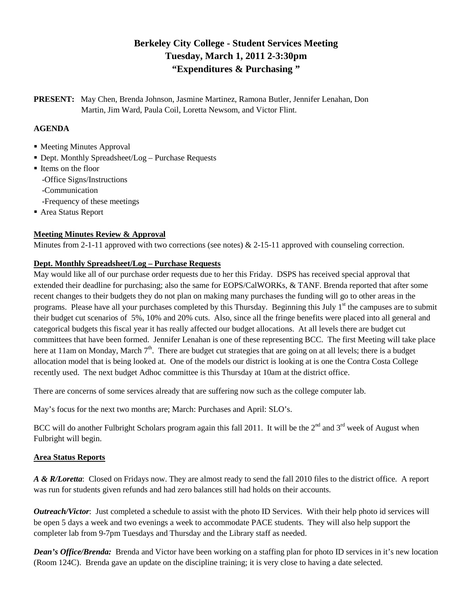# **Berkeley City College - Student Services Meeting Tuesday, March 1, 2011 2-3:30pm "Expenditures & Purchasing "**

**PRESENT:** May Chen, Brenda Johnson, Jasmine Martinez, Ramona Butler, Jennifer Lenahan, Don Martin, Jim Ward, Paula Coil, Loretta Newsom, and Victor Flint.

## **AGENDA**

- Meeting Minutes Approval
- Dept. Monthly Spreadsheet/Log Purchase Requests
- Items on the floor -Office Signs/Instructions -Communication
	- -Frequency of these meetings
- Area Status Report

## **Meeting Minutes Review & Approval**

Minutes from 2-1-11 approved with two corrections (see notes)  $\&$  2-15-11 approved with counseling correction.

#### **Dept. Monthly Spreadsheet/Log – Purchase Requests**

May would like all of our purchase order requests due to her this Friday. DSPS has received special approval that extended their deadline for purchasing; also the same for EOPS/CalWORKs, & TANF. Brenda reported that after some recent changes to their budgets they do not plan on making many purchases the funding will go to other areas in the programs. Please have all your purchases completed by this Thursday. Beginning this July  $1<sup>st</sup>$  the campuses are to submit their budget cut scenarios of 5%, 10% and 20% cuts. Also, since all the fringe benefits were placed into all general and categorical budgets this fiscal year it has really affected our budget allocations. At all levels there are budget cut committees that have been formed. Jennifer Lenahan is one of these representing BCC. The first Meeting will take place here at 11am on Monday, March  $7<sup>th</sup>$ . There are budget cut strategies that are going on at all levels; there is a budget allocation model that is being looked at. One of the models our district is looking at is one the Contra Costa College recently used. The next budget Adhoc committee is this Thursday at 10am at the district office.

There are concerns of some services already that are suffering now such as the college computer lab.

May's focus for the next two months are; March: Purchases and April: SLO's.

BCC will do another Fulbright Scholars program again this fall 2011. It will be the  $2^{nd}$  and  $3^{rd}$  week of August when Fulbright will begin.

## **Area Status Reports**

*A & R/Loretta*: Closed on Fridays now. They are almost ready to send the fall 2010 files to the district office. A report was run for students given refunds and had zero balances still had holds on their accounts.

*Outreach/Victor*: Just completed a schedule to assist with the photo ID Services. With their help photo id services will be open 5 days a week and two evenings a week to accommodate PACE students. They will also help support the completer lab from 9-7pm Tuesdays and Thursday and the Library staff as needed.

*Dean's Office/Brenda:* Brenda and Victor have been working on a staffing plan for photo ID services in it's new location (Room 124C). Brenda gave an update on the discipline training; it is very close to having a date selected.